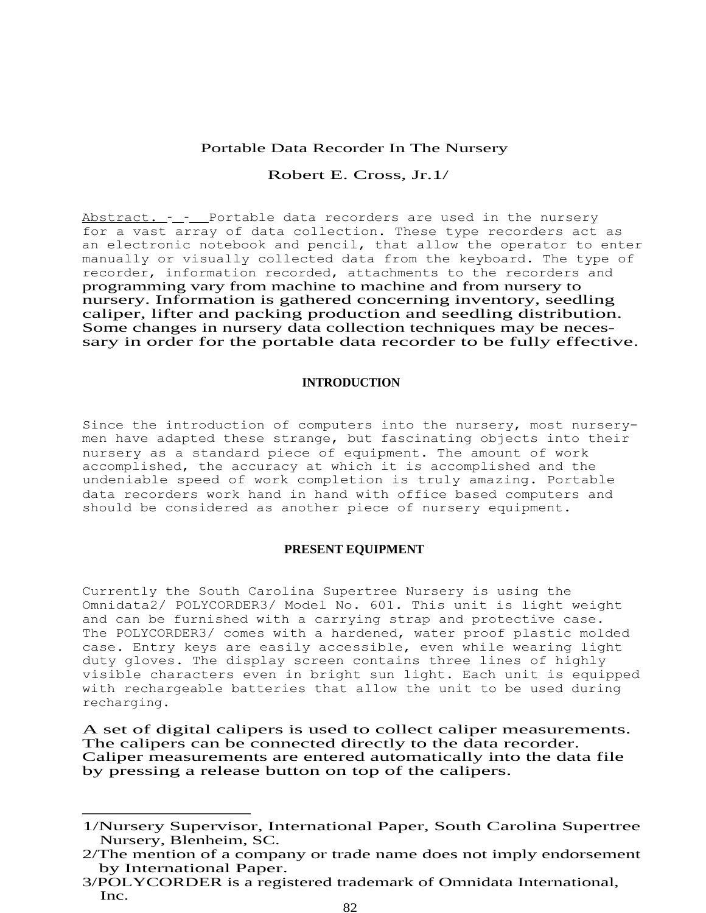# Portable Data Recorder In The Nursery

# Robert E. Cross, Jr.1/

Abstract. - - Portable data recorders are used in the nursery for a vast array of data collection. These type recorders act as an electronic notebook and pencil, that allow the operator to enter manually or visually collected data from the keyboard. The type of recorder, information recorded, attachments to the recorders and programming vary from machine to machine and from nursery to nursery. Information is gathered concerning inventory, seedling caliper, lifter and packing production and seedling distribution. Some changes in nursery data collection techniques may be necessary in order for the portable data recorder to be fully effective.

### **INTRODUCTION**

Since the introduction of computers into the nursery, most nurserymen have adapted these strange, but fascinating objects into their nursery as a standard piece of equipment. The amount of work accomplished, the accuracy at which it is accomplished and the undeniable speed of work completion is truly amazing. Portable data recorders work hand in hand with office based computers and should be considered as another piece of nursery equipment.

# **PRESENT EQUIPMENT**

Currently the South Carolina Supertree Nursery is using the Omnidata2/ POLYCORDER3/ Model No. 601. This unit is light weight and can be furnished with a carrying strap and protective case. The POLYCORDER3/ comes with a hardened, water proof plastic molded case. Entry keys are easily accessible, even while wearing light duty gloves. The display screen contains three lines of highly visible characters even in bright sun light. Each unit is equipped with rechargeable batteries that allow the unit to be used during recharging.

A set of digital calipers is used to collect caliper measurements. The calipers can be connected directly to the data recorder. Caliper measurements are entered automatically into the data file by pressing a release button on top of the calipers.

<sup>1/</sup>Nursery Supervisor, International Paper, South Carolina Supertree Nursery, Blenheim, SC.

<sup>2/</sup>The mention of a company or trade name does not imply endorsement by International Paper.

<sup>3/</sup>POLYCORDER is a registered trademark of Omnidata International, Inc.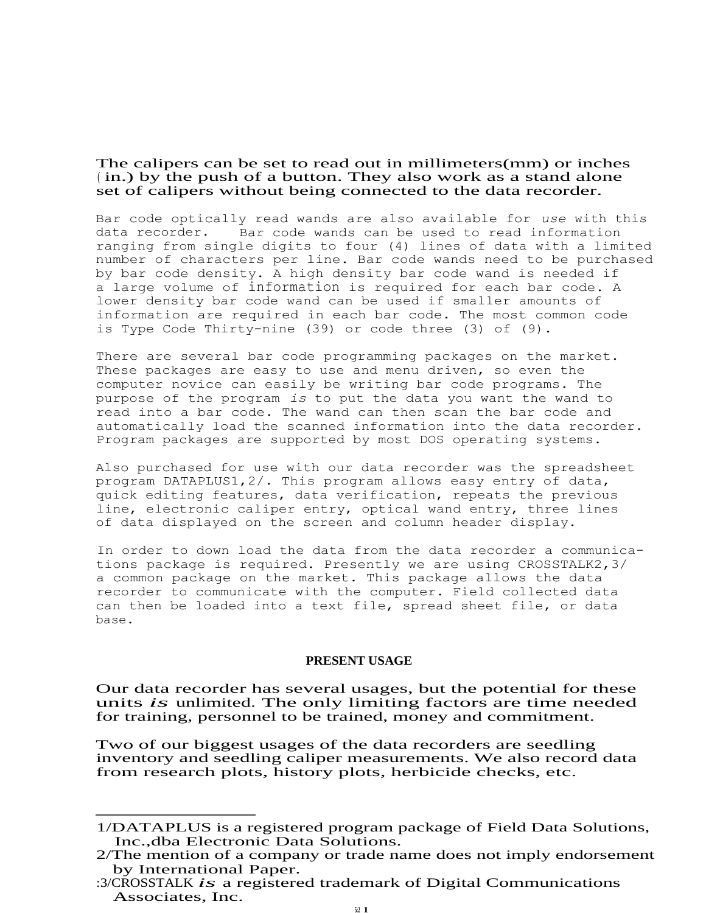The calipers can be set to read out in millimeters(mm) or inches ( in.) by the push of a button. They also work as a stand alone set of calipers without being connected to the data recorder.

Bar code optically read wands are also available for *use* with this data recorder. Bar code wands can be used to read information ranging from single digits to four (4) lines of data with a limited number of characters per line. Bar code wands need to be purchased by bar code density. A high density bar code wand is needed if a large volume of information is required for each bar code. A lower density bar code wand can be used if smaller amounts of information are required in each bar code. The most common code is Type Code Thirty-nine (39) or code three (3) of (9).

There are several bar code programming packages on the market. These packages are easy to use and menu driven, so even the computer novice can easily be writing bar code programs. The purpose of the program *is* to put the data you want the wand to read into a bar code. The wand can then scan the bar code and automatically load the scanned information into the data recorder. Program packages are supported by most DOS operating systems.

Also purchased for use with our data recorder was the spreadsheet program DATAPLUS1,2/. This program allows easy entry of data, quick editing features, data verification, repeats the previous line, electronic caliper entry, optical wand entry, three lines of data displayed on the screen and column header display.

In order to down load the data from the data recorder a communications package is required. Presently we are using CROSSTALK2,3/ a common package on the market. This package allows the data recorder to communicate with the computer. Field collected data can then be loaded into a text file, spread sheet file, or data base.

### **PRESENT USAGE**

Our data recorder has several usages, but the potential for these units *is* unlimited. The only limiting factors are time needed for training, personnel to be trained, money and commitment.

Two of our biggest usages of the data recorders are seedling inventory and seedling caliper measurements. We also record data from research plots, history plots, herbicide checks, etc.

<sup>1/</sup>DATAPLUS is a registered program package of Field Data Solutions, Inc.,dba Electronic Data Solutions.

<sup>2/</sup>The mention of a company or trade name does not imply endorsement by International Paper.

<sup>:3/</sup>CROSSTALK *is* a registered trademark of Digital Communications Associates, Inc.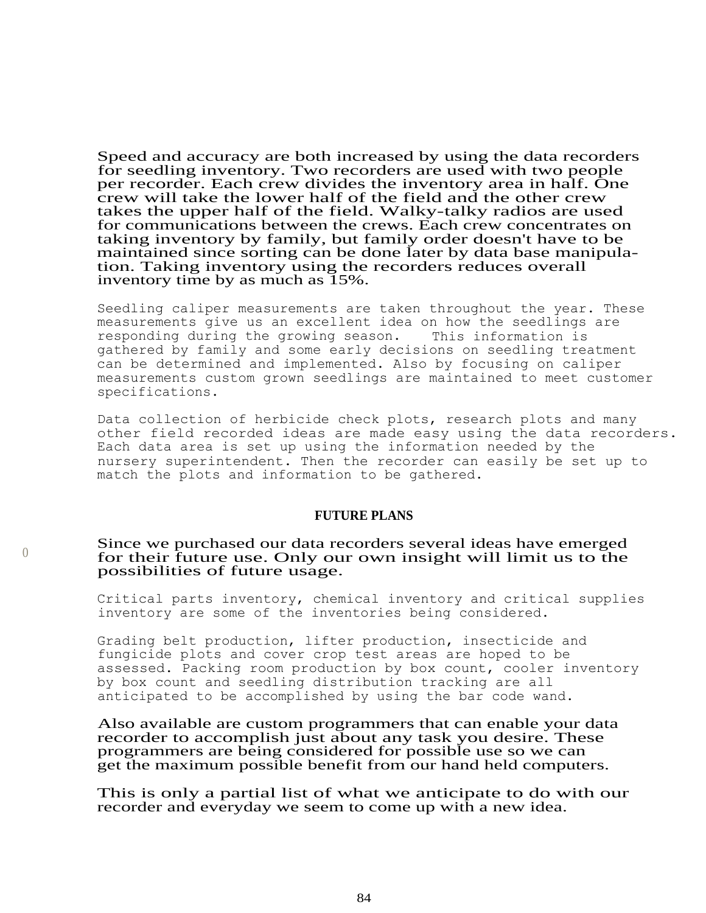Speed and accuracy are both increased by using the data recorders for seedling inventory. Two recorders are used with two people per recorder. Each crew divides the inventory area in half. One crew will take the lower half of the field and the other crew takes the upper half of the field. Walky-talky radios are used for communications between the crews. Each crew concentrates on taking inventory by family, but family order doesn't have to be maintained since sorting can be done later by data base manipulation. Taking inventory using the recorders reduces overall inventory time by as much as 15%.

Seedling caliper measurements are taken throughout the year. These measurements give us an excellent idea on how the seedlings are<br>responding during the growing season. This information is responding during the growing season. gathered by family and some early decisions on seedling treatment can be determined and implemented. Also by focusing on caliper measurements custom grown seedlings are maintained to meet customer specifications.

Data collection of herbicide check plots, research plots and many other field recorded ideas are made easy using the data recorders. Each data area is set up using the information needed by the nursery superintendent. Then the recorder can easily be set up to match the plots and information to be gathered.

# **FUTURE PLANS**

# Since we purchased our data recorders several ideas have emerged for their future use. Only our own insight will limit us to the possibilities of future usage.

 $\bigcap$ 

Critical parts inventory, chemical inventory and critical supplies inventory are some of the inventories being considered.

Grading belt production, lifter production, insecticide and fungicide plots and cover crop test areas are hoped to be assessed. Packing room production by box count, cooler inventory by box count and seedling distribution tracking are all anticipated to be accomplished by using the bar code wand.

Also available are custom programmers that can enable your data recorder to accomplish just about any task you desire. These programmers are being considered for possible use so we can get the maximum possible benefit from our hand held computers.

This is only a partial list of what we anticipate to do with our recorder and everyday we seem to come up with a new idea.